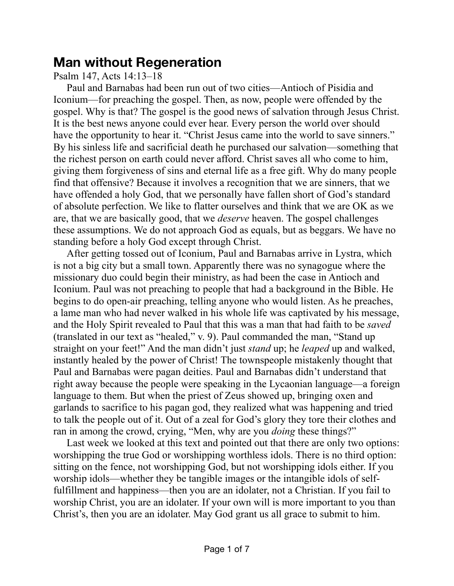## **Man without Regeneration**

Psalm 147, Acts 14:13–18

Paul and Barnabas had been run out of two cities—Antioch of Pisidia and Iconium—for preaching the gospel. Then, as now, people were offended by the gospel. Why is that? The gospel is the good news of salvation through Jesus Christ. It is the best news anyone could ever hear. Every person the world over should have the opportunity to hear it. "Christ Jesus came into the world to save sinners." By his sinless life and sacrificial death he purchased our salvation—something that the richest person on earth could never afford. Christ saves all who come to him, giving them forgiveness of sins and eternal life as a free gift. Why do many people find that offensive? Because it involves a recognition that we are sinners, that we have offended a holy God, that we personally have fallen short of God's standard of absolute perfection. We like to flatter ourselves and think that we are OK as we are, that we are basically good, that we *deserve* heaven. The gospel challenges these assumptions. We do not approach God as equals, but as beggars. We have no standing before a holy God except through Christ.

After getting tossed out of Iconium, Paul and Barnabas arrive in Lystra, which is not a big city but a small town. Apparently there was no synagogue where the missionary duo could begin their ministry, as had been the case in Antioch and Iconium. Paul was not preaching to people that had a background in the Bible. He begins to do open-air preaching, telling anyone who would listen. As he preaches, a lame man who had never walked in his whole life was captivated by his message, and the Holy Spirit revealed to Paul that this was a man that had faith to be *saved* (translated in our text as "healed," v. 9). Paul commanded the man, "Stand up straight on your feet!" And the man didn't just *stand* up; he *leaped* up and walked, instantly healed by the power of Christ! The townspeople mistakenly thought that Paul and Barnabas were pagan deities. Paul and Barnabas didn't understand that right away because the people were speaking in the Lycaonian language—a foreign language to them. But when the priest of Zeus showed up, bringing oxen and garlands to sacrifice to his pagan god, they realized what was happening and tried to talk the people out of it. Out of a zeal for God's glory they tore their clothes and ran in among the crowd, crying, "Men, why are you *doing* these things?"

Last week we looked at this text and pointed out that there are only two options: worshipping the true God or worshipping worthless idols. There is no third option: sitting on the fence, not worshipping God, but not worshipping idols either. If you worship idols—whether they be tangible images or the intangible idols of selffulfillment and happiness—then you are an idolater, not a Christian. If you fail to worship Christ, you are an idolater. If your own will is more important to you than Christ's, then you are an idolater. May God grant us all grace to submit to him.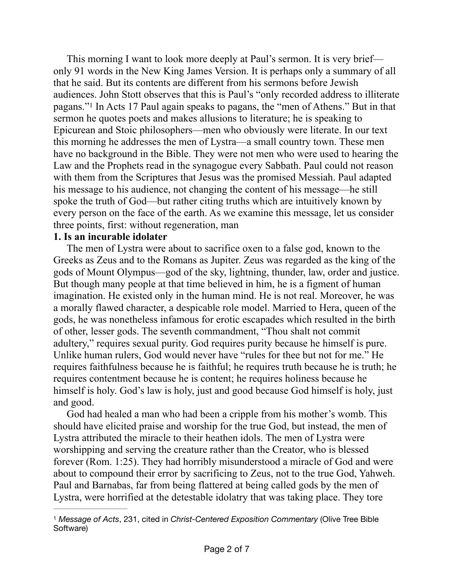<span id="page-1-1"></span>This morning I want to look more deeply at Paul's sermon. It is very brief only 91 words in the New King James Version. It is perhaps only a summary of all that he said. But its contents are different from his sermons before Jewish audiences. John Stott observes that this is Paul's "only recorded address to illiterate pagans." In Acts 17 Paul again speaks to pagans, the "men of Athens." But in that [1](#page-1-0) sermon he quotes poets and makes allusions to literature; he is speaking to Epicurean and Stoic philosophers—men who obviously were literate. In our text this morning he addresses the men of Lystra—a small country town. These men have no background in the Bible. They were not men who were used to hearing the Law and the Prophets read in the synagogue every Sabbath. Paul could not reason with them from the Scriptures that Jesus was the promised Messiah. Paul adapted his message to his audience, not changing the content of his message—he still spoke the truth of God—but rather citing truths which are intuitively known by every person on the face of the earth. As we examine this message, let us consider three points, first: without regeneration, man

## **1. Is an incurable idolater**

The men of Lystra were about to sacrifice oxen to a false god, known to the Greeks as Zeus and to the Romans as Jupiter. Zeus was regarded as the king of the gods of Mount Olympus—god of the sky, lightning, thunder, law, order and justice. But though many people at that time believed in him, he is a figment of human imagination. He existed only in the human mind. He is not real. Moreover, he was a morally flawed character, a despicable role model. Married to Hera, queen of the gods, he was nonetheless infamous for erotic escapades which resulted in the birth of other, lesser gods. The seventh commandment, "Thou shalt not commit adultery," requires sexual purity. God requires purity because he himself is pure. Unlike human rulers, God would never have "rules for thee but not for me." He requires faithfulness because he is faithful; he requires truth because he is truth; he requires contentment because he is content; he requires holiness because he himself is holy. God's law is holy, just and good because God himself is holy, just and good.

God had healed a man who had been a cripple from his mother's womb. This should have elicited praise and worship for the true God, but instead, the men of Lystra attributed the miracle to their heathen idols. The men of Lystra were worshipping and serving the creature rather than the Creator, who is blessed forever (Rom. 1:25). They had horribly misunderstood a miracle of God and were about to compound their error by sacrificing to Zeus, not to the true God, Yahweh. Paul and Barnabas, far from being flattered at being called gods by the men of Lystra, were horrified at the detestable idolatry that was taking place. They tore

<span id="page-1-0"></span><sup>&</sup>lt;sup>[1](#page-1-1)</sup> Message of Acts, 231, cited in *Christ-Centered Exposition Commentary* (Olive Tree Bible Software)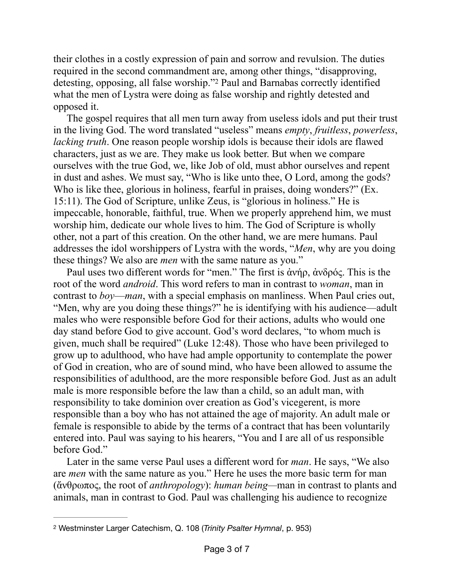<span id="page-2-1"></span>their clothes in a costly expression of pain and sorrow and revulsion. The duties required in the second commandment are, among other things, "disapproving, detesting, opposing, all false worship."<sup>[2](#page-2-0)</sup> Paul and Barnabas correctly identified what the men of Lystra were doing as false worship and rightly detested and opposed it.

The gospel requires that all men turn away from useless idols and put their trust in the living God. The word translated "useless" means *empty*, *fruitless*, *powerless*, *lacking truth*. One reason people worship idols is because their idols are flawed characters, just as we are. They make us look better. But when we compare ourselves with the true God, we, like Job of old, must abhor ourselves and repent in dust and ashes. We must say, "Who is like unto thee, O Lord, among the gods? Who is like thee, glorious in holiness, fearful in praises, doing wonders?" (Ex. 15:11). The God of Scripture, unlike Zeus, is "glorious in holiness." He is impeccable, honorable, faithful, true. When we properly apprehend him, we must worship him, dedicate our whole lives to him. The God of Scripture is wholly other, not a part of this creation. On the other hand, we are mere humans. Paul addresses the idol worshippers of Lystra with the words, "*Men*, why are you doing these things? We also are *men* with the same nature as you."

Paul uses two different words for "men." The first is ἀνήρ, ἀνδρός. This is the root of the word *android*. This word refers to man in contrast to *woman*, man in contrast to *boy*—*man*, with a special emphasis on manliness. When Paul cries out, "Men, why are you doing these things?" he is identifying with his audience—adult males who were responsible before God for their actions, adults who would one day stand before God to give account. God's word declares, "to whom much is given, much shall be required" (Luke 12:48). Those who have been privileged to grow up to adulthood, who have had ample opportunity to contemplate the power of God in creation, who are of sound mind, who have been allowed to assume the responsibilities of adulthood, are the more responsible before God. Just as an adult male is more responsible before the law than a child, so an adult man, with responsibility to take dominion over creation as God's vicegerent, is more responsible than a boy who has not attained the age of majority. An adult male or female is responsible to abide by the terms of a contract that has been voluntarily entered into. Paul was saying to his hearers, "You and I are all of us responsible before God."

Later in the same verse Paul uses a different word for *man*. He says, "We also are *men* with the same nature as you." Here he uses the more basic term for man (ἄνθρωπος, the root of *anthropology*): *human being—*man in contrast to plants and animals, man in contrast to God. Paul was challenging his audience to recognize

<span id="page-2-0"></span>Westminster Larger Catechism, Q. 108 (*Trinity Psalter Hymnal*, p. 953) [2](#page-2-1)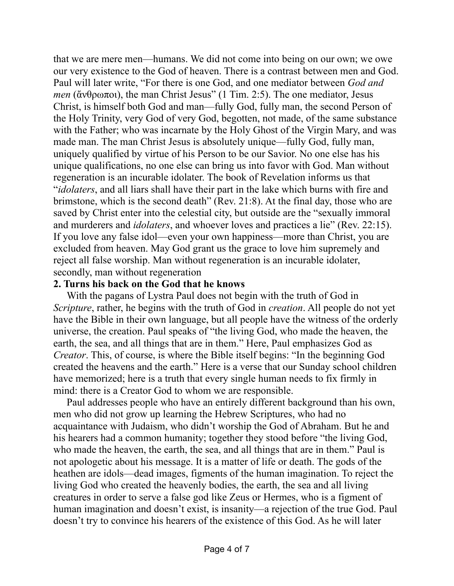that we are mere men—humans. We did not come into being on our own; we owe our very existence to the God of heaven. There is a contrast between men and God. Paul will later write, "For there is one God, and one mediator between *God and men* (ἄνθρωποι), the man Christ Jesus" (1 Tim. 2:5). The one mediator, Jesus Christ, is himself both God and man—fully God, fully man, the second Person of the Holy Trinity, very God of very God, begotten, not made, of the same substance with the Father; who was incarnate by the Holy Ghost of the Virgin Mary, and was made man. The man Christ Jesus is absolutely unique—fully God, fully man, uniquely qualified by virtue of his Person to be our Savior. No one else has his unique qualifications, no one else can bring us into favor with God. Man without regeneration is an incurable idolater. The book of Revelation informs us that "*idolaters*, and all liars shall have their part in the lake which burns with fire and brimstone, which is the second death" (Rev. 21:8). At the final day, those who are saved by Christ enter into the celestial city, but outside are the "sexually immoral and murderers and *idolaters*, and whoever loves and practices a lie" (Rev. 22:15). If you love any false idol—even your own happiness—more than Christ, you are excluded from heaven. May God grant us the grace to love him supremely and reject all false worship. Man without regeneration is an incurable idolater, secondly, man without regeneration

## **2. Turns his back on the God that he knows**

With the pagans of Lystra Paul does not begin with the truth of God in *Scripture*, rather, he begins with the truth of God in *creation*. All people do not yet have the Bible in their own language, but all people have the witness of the orderly universe, the creation. Paul speaks of "the living God, who made the heaven, the earth, the sea, and all things that are in them." Here, Paul emphasizes God as *Creator*. This, of course, is where the Bible itself begins: "In the beginning God created the heavens and the earth." Here is a verse that our Sunday school children have memorized; here is a truth that every single human needs to fix firmly in mind: there is a Creator God to whom we are responsible.

Paul addresses people who have an entirely different background than his own, men who did not grow up learning the Hebrew Scriptures, who had no acquaintance with Judaism, who didn't worship the God of Abraham. But he and his hearers had a common humanity; together they stood before "the living God, who made the heaven, the earth, the sea, and all things that are in them." Paul is not apologetic about his message. It is a matter of life or death. The gods of the heathen are idols—dead images, figments of the human imagination. To reject the living God who created the heavenly bodies, the earth, the sea and all living creatures in order to serve a false god like Zeus or Hermes, who is a figment of human imagination and doesn't exist, is insanity—a rejection of the true God. Paul doesn't try to convince his hearers of the existence of this God. As he will later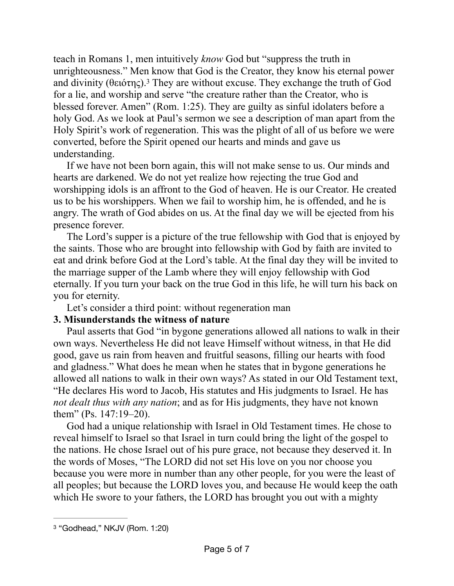<span id="page-4-1"></span>teach in Romans 1, men intuitively *know* God but "suppress the truth in unrighteousness." Men know that God is the Creator, they know his eternal power and divinity (θειότης)[.](#page-4-0)<sup>[3](#page-4-0)</sup> They are without excuse. They exchange the truth of God for a lie, and worship and serve "the creature rather than the Creator, who is blessed forever. Amen" (Rom. 1:25). They are guilty as sinful idolaters before a holy God. As we look at Paul's sermon we see a description of man apart from the Holy Spirit's work of regeneration. This was the plight of all of us before we were converted, before the Spirit opened our hearts and minds and gave us understanding.

If we have not been born again, this will not make sense to us. Our minds and hearts are darkened. We do not yet realize how rejecting the true God and worshipping idols is an affront to the God of heaven. He is our Creator. He created us to be his worshippers. When we fail to worship him, he is offended, and he is angry. The wrath of God abides on us. At the final day we will be ejected from his presence forever.

The Lord's supper is a picture of the true fellowship with God that is enjoyed by the saints. Those who are brought into fellowship with God by faith are invited to eat and drink before God at the Lord's table. At the final day they will be invited to the marriage supper of the Lamb where they will enjoy fellowship with God eternally. If you turn your back on the true God in this life, he will turn his back on you for eternity.

Let's consider a third point: without regeneration man

## **3. Misunderstands the witness of nature**

Paul asserts that God "in bygone generations allowed all nations to walk in their own ways. Nevertheless He did not leave Himself without witness, in that He did good, gave us rain from heaven and fruitful seasons, filling our hearts with food and gladness." What does he mean when he states that in bygone generations he allowed all nations to walk in their own ways? As stated in our Old Testament text, "He declares His word to Jacob, His statutes and His judgments to Israel. He has *not dealt thus with any nation*; and as for His judgments, they have not known them" (Ps. 147:19–20).

God had a unique relationship with Israel in Old Testament times. He chose to reveal himself to Israel so that Israel in turn could bring the light of the gospel to the nations. He chose Israel out of his pure grace, not because they deserved it. In the words of Moses, "The LORD did not set His love on you nor choose you because you were more in number than any other people, for you were the least of all peoples; but because the LORD loves you, and because He would keep the oath which He swore to your fathers, the LORD has brought you out with a mighty

<span id="page-4-0"></span><sup>&</sup>lt;sup>[3](#page-4-1)</sup> "Godhead," NKJV (Rom. 1:20)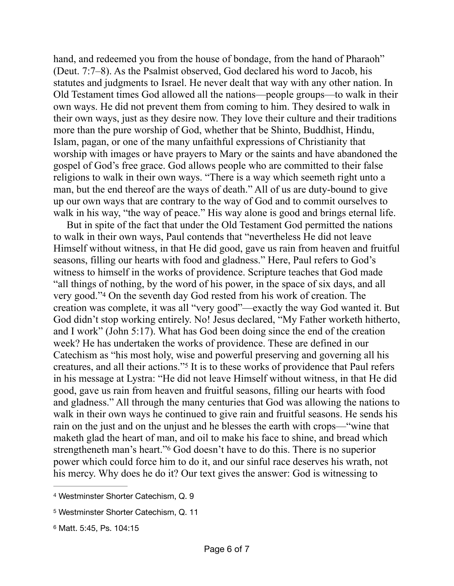hand, and redeemed you from the house of bondage, from the hand of Pharaoh" (Deut. 7:7–8). As the Psalmist observed, God declared his word to Jacob, his statutes and judgments to Israel. He never dealt that way with any other nation. In Old Testament times God allowed all the nations—people groups—to walk in their own ways. He did not prevent them from coming to him. They desired to walk in their own ways, just as they desire now. They love their culture and their traditions more than the pure worship of God, whether that be Shinto, Buddhist, Hindu, Islam, pagan, or one of the many unfaithful expressions of Christianity that worship with images or have prayers to Mary or the saints and have abandoned the gospel of God's free grace. God allows people who are committed to their false religions to walk in their own ways. "There is a way which seemeth right unto a man, but the end thereof are the ways of death." All of us are duty-bound to give up our own ways that are contrary to the way of God and to commit ourselves to walk in his way, "the way of peace." His way alone is good and brings eternal life.

<span id="page-5-3"></span>But in spite of the fact that under the Old Testament God permitted the nations to walk in their own ways, Paul contends that "nevertheless He did not leave Himself without witness, in that He did good, gave us rain from heaven and fruitful seasons, filling our hearts with food and gladness." Here, Paul refers to God's witness to himself in the works of providence. Scripture teaches that God made "all things of nothing, by the word of his power, in the space of six days, and all very good."<sup>[4](#page-5-0)</sup> On the seventh day God rested from his work of creation. The creation was complete, it was all "very good"—exactly the way God wanted it. But God didn't stop working entirely. No! Jesus declared, "My Father worketh hitherto, and I work" (John 5:17). What has God been doing since the end of the creation week? He has undertaken the works of providence. These are defined in our Catechism as "his most holy, wise and powerful preserving and governing all his creatures, and all their actions."<sup>[5](#page-5-1)</sup> It is to these works of providence that Paul refers in his message at Lystra: "He did not leave Himself without witness, in that He did good, gave us rain from heaven and fruitful seasons, filling our hearts with food and gladness." All through the many centuries that God was allowing the nations to walk in their own ways he continued to give rain and fruitful seasons. He sends his rain on the just and on the unjust and he blesses the earth with crops—"wine that maketh glad the heart of man, and oil to make his face to shine, and bread which strengtheneth man's heart."<sup>[6](#page-5-2)</sup> God doesn't have to do this. There is no superior power which could force him to do it, and our sinful race deserves his wrath, not his mercy. Why does he do it? Our text gives the answer: God is witnessing to

<span id="page-5-5"></span><span id="page-5-4"></span><span id="page-5-0"></span>[<sup>4</sup>](#page-5-3) Westminster Shorter Catechism, Q. 9

<span id="page-5-1"></span>[<sup>5</sup>](#page-5-4) Westminster Shorter Catechism, Q. 11

<span id="page-5-2"></span>[<sup>6</sup>](#page-5-5) Matt. 5:45, Ps. 104:15